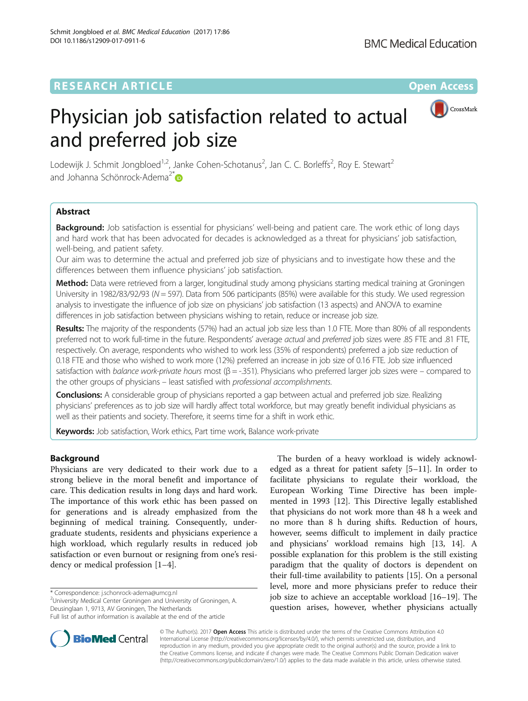# **RESEARCH ARTICLE External Structure Community Community Community Community Community Community Community Community**



# Physician job satisfaction related to actual and preferred job size

Lodewijk J. Schmit Jongbloed<sup>1,2</sup>, Janke Cohen-Schotanus<sup>2</sup>, Jan C. C. Borleffs<sup>2</sup>, Roy E. Stewart<sup>2</sup> and Johanna Schönrock-Adema<sup>2[\\*](http://orcid.org/0000-0002-4483-5080)</sup>

# Abstract

Background: Job satisfaction is essential for physicians' well-being and patient care. The work ethic of long days and hard work that has been advocated for decades is acknowledged as a threat for physicians' job satisfaction, well-being, and patient safety.

Our aim was to determine the actual and preferred job size of physicians and to investigate how these and the differences between them influence physicians' job satisfaction.

Method: Data were retrieved from a larger, longitudinal study among physicians starting medical training at Groningen University in 1982/83/92/93 (N = 597). Data from 506 participants (85%) were available for this study. We used regression analysis to investigate the influence of job size on physicians' job satisfaction (13 aspects) and ANOVA to examine differences in job satisfaction between physicians wishing to retain, reduce or increase job size.

Results: The majority of the respondents (57%) had an actual job size less than 1.0 FTE. More than 80% of all respondents preferred not to work full-time in the future. Respondents' average actual and preferred job sizes were .85 FTE and .81 FTE, respectively. On average, respondents who wished to work less (35% of respondents) preferred a job size reduction of 0.18 FTE and those who wished to work more (12%) preferred an increase in job size of 0.16 FTE. Job size influenced satisfaction with *balance work-private hours* most ( $\beta = -351$ ). Physicians who preferred larger job sizes were – compared to the other groups of physicians – least satisfied with professional accomplishments.

Conclusions: A considerable group of physicians reported a gap between actual and preferred job size. Realizing physicians' preferences as to job size will hardly affect total workforce, but may greatly benefit individual physicians as well as their patients and society. Therefore, it seems time for a shift in work ethic.

Keywords: Job satisfaction, Work ethics, Part time work, Balance work-private

# Background

Physicians are very dedicated to their work due to a strong believe in the moral benefit and importance of care. This dedication results in long days and hard work. The importance of this work ethic has been passed on for generations and is already emphasized from the beginning of medical training. Consequently, undergraduate students, residents and physicians experience a high workload, which regularly results in reduced job satisfaction or even burnout or resigning from one's residency or medical profession [[1](#page-7-0)–[4\]](#page-7-0).

University Medical Center Groningen and University of Groningen, A. Deusinglaan 1, 9713, AV Groningen, The Netherlands



**BioMed Central** 

© The Author(s). 2017 **Open Access** This article is distributed under the terms of the Creative Commons Attribution 4.0 International License [\(http://creativecommons.org/licenses/by/4.0/](http://creativecommons.org/licenses/by/4.0/)), which permits unrestricted use, distribution, and reproduction in any medium, provided you give appropriate credit to the original author(s) and the source, provide a link to the Creative Commons license, and indicate if changes were made. The Creative Commons Public Domain Dedication waiver [\(http://creativecommons.org/publicdomain/zero/1.0/](http://creativecommons.org/publicdomain/zero/1.0/)) applies to the data made available in this article, unless otherwise stated.

<sup>\*</sup> Correspondence: [j.schonrock-adema@umcg.nl](mailto:j.schonrock-adema@umcg.nl) <sup>2</sup>

Full list of author information is available at the end of the article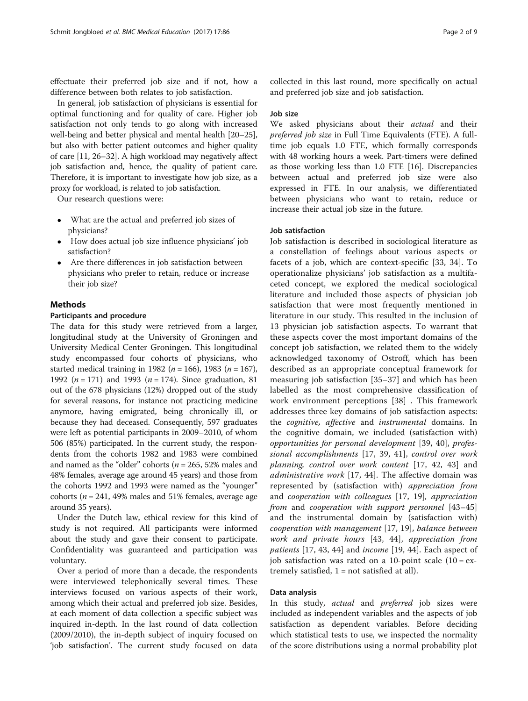effectuate their preferred job size and if not, how a difference between both relates to job satisfaction.

In general, job satisfaction of physicians is essential for optimal functioning and for quality of care. Higher job satisfaction not only tends to go along with increased well-being and better physical and mental health [\[20](#page-7-0)–[25](#page-7-0)], but also with better patient outcomes and higher quality of care [[11](#page-7-0), [26](#page-7-0)–[32](#page-8-0)]. A high workload may negatively affect job satisfaction and, hence, the quality of patient care. Therefore, it is important to investigate how job size, as a proxy for workload, is related to job satisfaction.

Our research questions were:

- What are the actual and preferred job sizes of physicians?
- How does actual job size influence physicians' job satisfaction?
- Are there differences in job satisfaction between physicians who prefer to retain, reduce or increase their job size?

# Methods

## Participants and procedure

The data for this study were retrieved from a larger, longitudinal study at the University of Groningen and University Medical Center Groningen. This longitudinal study encompassed four cohorts of physicians, who started medical training in 1982 ( $n = 166$ ), 1983 ( $n = 167$ ), 1992 ( $n = 171$ ) and 1993 ( $n = 174$ ). Since graduation, 81 out of the 678 physicians (12%) dropped out of the study for several reasons, for instance not practicing medicine anymore, having emigrated, being chronically ill, or because they had deceased. Consequently, 597 graduates were left as potential participants in 2009–2010, of whom 506 (85%) participated. In the current study, the respondents from the cohorts 1982 and 1983 were combined and named as the "older" cohorts ( $n = 265$ , 52% males and 48% females, average age around 45 years) and those from the cohorts 1992 and 1993 were named as the "younger" cohorts ( $n = 241$ , 49% males and 51% females, average age around 35 years).

Under the Dutch law, ethical review for this kind of study is not required. All participants were informed about the study and gave their consent to participate. Confidentiality was guaranteed and participation was voluntary.

Over a period of more than a decade, the respondents were interviewed telephonically several times. These interviews focused on various aspects of their work, among which their actual and preferred job size. Besides, at each moment of data collection a specific subject was inquired in-depth. In the last round of data collection (2009/2010), the in-depth subject of inquiry focused on 'job satisfaction'. The current study focused on data

collected in this last round, more specifically on actual and preferred job size and job satisfaction.

### Job size

We asked physicians about their actual and their preferred job size in Full Time Equivalents (FTE). A fulltime job equals 1.0 FTE, which formally corresponds with 48 working hours a week. Part-timers were defined as those working less than 1.0 FTE [\[16\]](#page-7-0). Discrepancies between actual and preferred job size were also expressed in FTE. In our analysis, we differentiated between physicians who want to retain, reduce or increase their actual job size in the future.

# Job satisfaction

Job satisfaction is described in sociological literature as a constellation of feelings about various aspects or facets of a job, which are context-specific [[33](#page-8-0), [34](#page-8-0)]. To operationalize physicians' job satisfaction as a multifaceted concept, we explored the medical sociological literature and included those aspects of physician job satisfaction that were most frequently mentioned in literature in our study. This resulted in the inclusion of 13 physician job satisfaction aspects. To warrant that these aspects cover the most important domains of the concept job satisfaction, we related them to the widely acknowledged taxonomy of Ostroff, which has been described as an appropriate conceptual framework for measuring job satisfaction [[35](#page-8-0)–[37\]](#page-8-0) and which has been labelled as the most comprehensive classification of work environment perceptions [[38](#page-8-0)] . This framework addresses three key domains of job satisfaction aspects: the cognitive, affective and instrumental domains. In the cognitive domain, we included (satisfaction with) opportunities for personal development [[39, 40\]](#page-8-0), professional accomplishments [[17,](#page-7-0) [39](#page-8-0), [41\]](#page-8-0), control over work planning, control over work content [[17,](#page-7-0) [42](#page-8-0), [43\]](#page-8-0) and administrative work [\[17](#page-7-0), [44](#page-8-0)]. The affective domain was represented by (satisfaction with) appreciation from and cooperation with colleagues [[17, 19](#page-7-0)], appreciation from and cooperation with support personnel [\[43](#page-8-0)-[45](#page-8-0)] and the instrumental domain by (satisfaction with) cooperation with management [[17, 19\]](#page-7-0), balance between work and private hours [[43, 44](#page-8-0)], appreciation from patients [[17](#page-7-0), [43](#page-8-0), [44\]](#page-8-0) and income [[19,](#page-7-0) [44\]](#page-8-0). Each aspect of job satisfaction was rated on a 10-point scale  $(10 = ex$ tremely satisfied,  $1 = not satisfied$  at all).

# Data analysis

In this study, actual and preferred job sizes were included as independent variables and the aspects of job satisfaction as dependent variables. Before deciding which statistical tests to use, we inspected the normality of the score distributions using a normal probability plot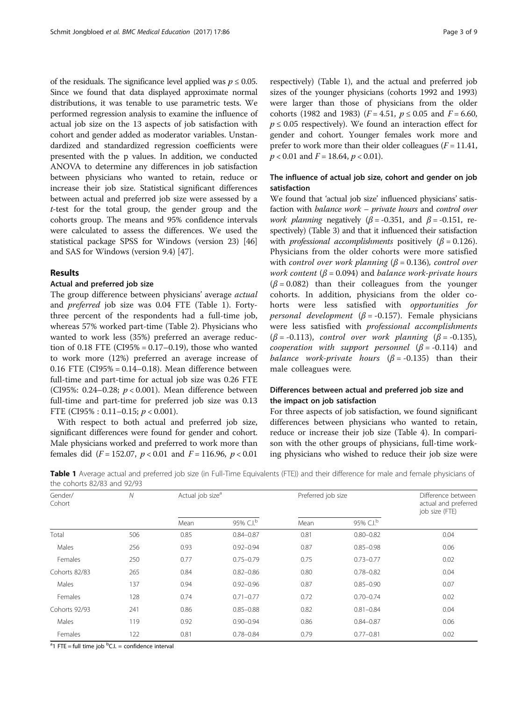of the residuals. The significance level applied was  $p \leq 0.05$ . Since we found that data displayed approximate normal distributions, it was tenable to use parametric tests. We performed regression analysis to examine the influence of actual job size on the 13 aspects of job satisfaction with cohort and gender added as moderator variables. Unstandardized and standardized regression coefficients were presented with the p values. In addition, we conducted ANOVA to determine any differences in job satisfaction between physicians who wanted to retain, reduce or increase their job size. Statistical significant differences between actual and preferred job size were assessed by a t-test for the total group, the gender group and the cohorts group. The means and 95% confidence intervals were calculated to assess the differences. We used the statistical package SPSS for Windows (version 23) [[46](#page-8-0)] and SAS for Windows (version 9.4) [[47](#page-8-0)].

# Results

# Actual and preferred job size

The group difference between physicians' average actual and preferred job size was 0.04 FTE (Table 1). Fortythree percent of the respondents had a full-time job, whereas 57% worked part-time (Table [2\)](#page-3-0). Physicians who wanted to work less (35%) preferred an average reduction of 0.18 FTE (CI95% =  $0.17-0.19$ ), those who wanted to work more (12%) preferred an average increase of  $0.16$  FTE (CI95% =  $0.14-0.18$ ). Mean difference between full-time and part-time for actual job size was 0.26 FTE (CI95%: 0.24–0.28;  $p < 0.001$ ). Mean difference between full-time and part-time for preferred job size was 0.13 FTE (CI95% : 0.11-0.15;  $p < 0.001$ ).

With respect to both actual and preferred job size, significant differences were found for gender and cohort. Male physicians worked and preferred to work more than females did ( $F = 152.07$ ,  $p < 0.01$  and  $F = 116.96$ ,  $p < 0.01$  respectively) (Table 1), and the actual and preferred job sizes of the younger physicians (cohorts 1992 and 1993) were larger than those of physicians from the older cohorts (1982 and 1983) ( $F = 4.51$ ,  $p \le 0.05$  and  $F = 6.60$ ,  $p \leq 0.05$  respectively). We found an interaction effect for gender and cohort. Younger females work more and prefer to work more than their older colleagues  $(F = 11.41,$  $p < 0.01$  and  $F = 18.64$ ,  $p < 0.01$ ).

# The influence of actual job size, cohort and gender on job satisfaction

We found that 'actual job size' influenced physicians' satisfaction with balance work – private hours and control over work planning negatively ( $\beta$  = -0.351, and  $\beta$  = -0.151, respectively) (Table [3](#page-4-0)) and that it influenced their satisfaction with *professional accomplishments* positively ( $\beta$  = 0.126). Physicians from the older cohorts were more satisfied with control over work planning ( $\beta$  = 0.136), control over *work content* ( $\beta$  = 0.094) and *balance work-private hours*  $(\beta = 0.082)$  than their colleagues from the younger cohorts. In addition, physicians from the older cohorts were less satisfied with opportunities for *personal development* ( $\beta$  = -0.157). Female physicians were less satisfied with professional accomplishments  $(\beta = -0.113)$ , control over work planning  $(\beta = -0.135)$ , cooperation with support personnel  $(\beta = -0.114)$  and balance work-private hours  $(\beta = -0.135)$  than their male colleagues were.

# Differences between actual and preferred job size and the impact on job satisfaction

For three aspects of job satisfaction, we found significant differences between physicians who wanted to retain, reduce or increase their job size (Table [4](#page-5-0)). In comparison with the other groups of physicians, full-time working physicians who wished to reduce their job size were

Table 1 Average actual and preferred job size (in Full-Time Equivalents (FTE)) and their difference for male and female physicians of the cohorts 82/83 and 92/93

| Gender/<br>Cohort | ${\cal N}$ | Actual job size <sup>a</sup> |                       | Preferred job size |                       | Difference between<br>actual and preferred<br>job size (FTE) |  |
|-------------------|------------|------------------------------|-----------------------|--------------------|-----------------------|--------------------------------------------------------------|--|
|                   |            | Mean                         | 95% C.I. <sup>b</sup> | Mean               | 95% C.I. <sup>b</sup> |                                                              |  |
| Total             | 506        | 0.85                         | $0.84 - 0.87$         | 0.81               | $0.80 - 0.82$         | 0.04                                                         |  |
| Males             | 256        | 0.93                         | $0.92 - 0.94$         | 0.87               | $0.85 - 0.98$         | 0.06                                                         |  |
| Females           | 250        | 0.77                         | $0.75 - 0.79$         | 0.75               | $0.73 - 0.77$         | 0.02                                                         |  |
| Cohorts 82/83     | 265        | 0.84                         | $0.82 - 0.86$         | 0.80               | $0.78 - 0.82$         | 0.04                                                         |  |
| Males             | 137        | 0.94                         | $0.92 - 0.96$         | 0.87               | $0.85 - 0.90$         | 0.07                                                         |  |
| Females           | 128        | 0.74                         | $0.71 - 0.77$         | 0.72               | $0.70 - 0.74$         | 0.02                                                         |  |
| Cohorts 92/93     | 241        | 0.86                         | $0.85 - 0.88$         | 0.82               | $0.81 - 0.84$         | 0.04                                                         |  |
| Males             | 119        | 0.92                         | $0.90 - 0.94$         | 0.86               | $0.84 - 0.87$         | 0.06                                                         |  |
| Females           | 122        | 0.81                         | $0.78 - 0.84$         | 0.79               | $0.77 - 0.81$         | 0.02                                                         |  |

<sup>a</sup>1 FTE = full time job <sup>b</sup>C.l. = confidence interval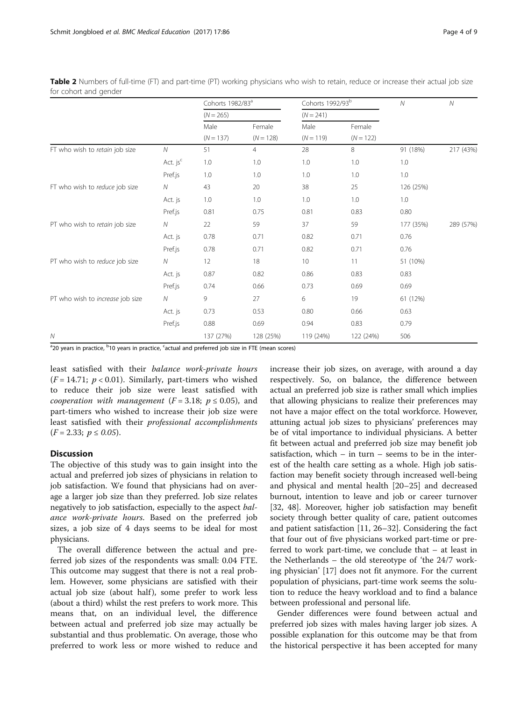|                                  |                      | Cohorts 1982/83 <sup>a</sup><br>$(N = 265)$ |                | Cohorts 1992/93b<br>$(N = 241)$ |             | ${\cal N}$ | $\mathcal N$ |  |
|----------------------------------|----------------------|---------------------------------------------|----------------|---------------------------------|-------------|------------|--------------|--|
|                                  |                      |                                             |                |                                 |             |            |              |  |
|                                  |                      | Male                                        | Female         | Male                            | Female      |            |              |  |
|                                  |                      | $(N = 137)$                                 | $(N = 128)$    | $(N = 119)$                     | $(N = 122)$ |            |              |  |
| FT who wish to retain job size   | ${\cal N}$           | 51                                          | $\overline{4}$ | 28                              | 8           | 91 (18%)   | 217 (43%)    |  |
|                                  | Act. js <sup>c</sup> | 1.0                                         | 1.0            | 1.0                             | 1.0         | 1.0        |              |  |
|                                  | Pref.js              | 1.0                                         | 1.0            | 1.0                             | 1.0         | 1.0        |              |  |
| FT who wish to reduce job size   | ${\cal N}$           | 43                                          | 20             | 38                              | 25          | 126 (25%)  |              |  |
|                                  | Act. js              | 1.0                                         | 1.0            | 1.0                             | 1.0         | 1.0        |              |  |
|                                  | Pref.js              | 0.81                                        | 0.75           | 0.81                            | 0.83        | 0.80       |              |  |
| PT who wish to retain job size   | ${\cal N}$           | 22                                          | 59             | 37                              | 59          | 177 (35%)  | 289 (57%)    |  |
|                                  | Act. js              | 0.78                                        | 0.71           | 0.82                            | 0.71        | 0.76       |              |  |
|                                  | Pref.js              | 0.78                                        | 0.71           | 0.82                            | 0.71        | 0.76       |              |  |
| PT who wish to reduce job size   | ${\cal N}$           | 12                                          | 18             | 10                              | 11          | 51 (10%)   |              |  |
|                                  | Act. js              | 0.87                                        | 0.82           | 0.86                            | 0.83        | 0.83       |              |  |
|                                  | Pref.js              | 0.74                                        | 0.66           | 0.73                            | 0.69        | 0.69       |              |  |
| PT who wish to increase job size | ${\cal N}$           | 9                                           | 27             | 6                               | 19          | 61 (12%)   |              |  |
|                                  | Act. js              | 0.73                                        | 0.53           | 0.80                            | 0.66        | 0.63       |              |  |
|                                  | Pref.js              | 0.88                                        | 0.69           | 0.94                            | 0.83        | 0.79       |              |  |
| $\overline{N}$                   |                      | 137 (27%)                                   | 128 (25%)      | 119 (24%)                       | 122 (24%)   | 506        |              |  |

<span id="page-3-0"></span>Table 2 Numbers of full-time (FT) and part-time (PT) working physicians who wish to retain, reduce or increase their actual job size for cohort and gender

<sup>a</sup>20 years in practice, <sup>b</sup>10 years in practice, <sup>c</sup>actual and preferred job size in FTE (mean scores)

least satisfied with their balance work-private hours  $(F = 14.71; p < 0.01)$ . Similarly, part-timers who wished to reduce their job size were least satisfied with cooperation with management ( $F = 3.18$ ;  $p \le 0.05$ ), and part-timers who wished to increase their job size were least satisfied with their professional accomplishments  $(F = 2.33; p \le 0.05).$ 

# **Discussion**

The objective of this study was to gain insight into the actual and preferred job sizes of physicians in relation to job satisfaction. We found that physicians had on average a larger job size than they preferred. Job size relates negatively to job satisfaction, especially to the aspect balance work-private hours. Based on the preferred job sizes, a job size of 4 days seems to be ideal for most physicians.

The overall difference between the actual and preferred job sizes of the respondents was small: 0.04 FTE. This outcome may suggest that there is not a real problem. However, some physicians are satisfied with their actual job size (about half), some prefer to work less (about a third) whilst the rest prefers to work more. This means that, on an individual level, the difference between actual and preferred job size may actually be substantial and thus problematic. On average, those who preferred to work less or more wished to reduce and

increase their job sizes, on average, with around a day respectively. So, on balance, the difference between actual an preferred job size is rather small which implies that allowing physicians to realize their preferences may not have a major effect on the total workforce. However, attuning actual job sizes to physicians' preferences may be of vital importance to individual physicians. A better fit between actual and preferred job size may benefit job satisfaction, which – in turn – seems to be in the interest of the health care setting as a whole. High job satisfaction may benefit society through increased well-being and physical and mental health [[20](#page-7-0)–[25](#page-7-0)] and decreased burnout, intention to leave and job or career turnover [[32, 48](#page-8-0)]. Moreover, higher job satisfaction may benefit society through better quality of care, patient outcomes and patient satisfaction [\[11](#page-7-0), [26](#page-7-0)–[32\]](#page-8-0). Considering the fact that four out of five physicians worked part-time or preferred to work part-time, we conclude that – at least in the Netherlands – the old stereotype of 'the 24/7 working physician' [\[17\]](#page-7-0) does not fit anymore. For the current population of physicians, part-time work seems the solution to reduce the heavy workload and to find a balance between professional and personal life.

Gender differences were found between actual and preferred job sizes with males having larger job sizes. A possible explanation for this outcome may be that from the historical perspective it has been accepted for many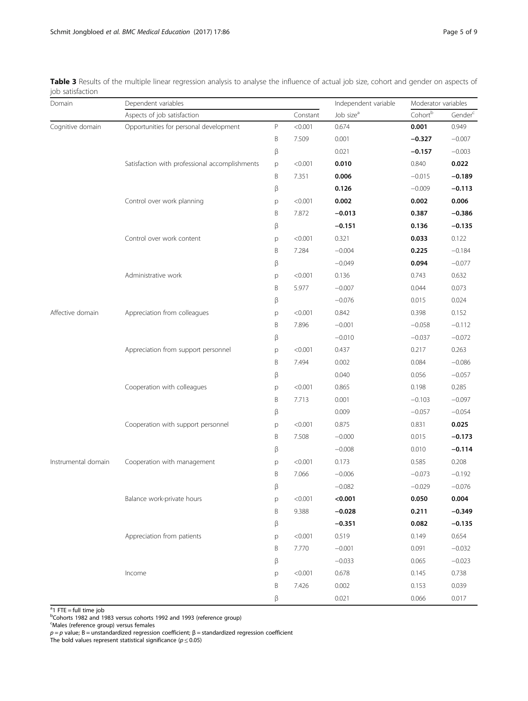<span id="page-4-0"></span>Table 3 Results of the multiple linear regression analysis to analyse the influence of actual job size, cohort and gender on aspects of job satisfaction

| Domain              | Dependent variables                            | Independent variable | Moderator variables |                       |                     |                     |
|---------------------|------------------------------------------------|----------------------|---------------------|-----------------------|---------------------|---------------------|
|                     | Aspects of job satisfaction                    |                      | Constant            | Job size <sup>a</sup> | Cohort <sup>b</sup> | Gender <sup>c</sup> |
| Cognitive domain    | Opportunities for personal development         |                      | < 0.001             | 0.674                 | 0.001               | 0.949               |
|                     |                                                | B                    | 7.509               | 0.001                 | $-0.327$            | $-0.007$            |
|                     |                                                | β                    |                     | 0.021                 | $-0.157$            | $-0.003$            |
|                     | Satisfaction with professional accomplishments | p                    | < 0.001             | 0.010                 | 0.840               | 0.022               |
|                     |                                                | Β                    | 7.351               | 0.006                 | $-0.015$            | $-0.189$            |
|                     |                                                | β                    |                     | 0.126                 | $-0.009$            | $-0.113$            |
|                     | Control over work planning                     | p                    | < 0.001             | 0.002                 | 0.002               | 0.006               |
|                     |                                                | B                    | 7.872               | $-0.013$              | 0.387               | $-0.386$            |
|                     |                                                | β                    |                     | $-0.151$              | 0.136               | $-0.135$            |
|                     | Control over work content                      | p                    | < 0.001             | 0.321                 | 0.033               | 0.122               |
|                     |                                                | Β                    | 7.284               | $-0.004$              | 0.225               | $-0.184$            |
|                     |                                                | β                    |                     | $-0.049$              | 0.094               | $-0.077$            |
|                     | Administrative work                            | p                    | < 0.001             | 0.136                 | 0.743               | 0.632               |
|                     |                                                | B                    | 5.977               | $-0.007$              | 0.044               | 0.073               |
|                     |                                                | β                    |                     | $-0.076$              | 0.015               | 0.024               |
| Affective domain    | Appreciation from colleagues                   | p                    | < 0.001             | 0.842                 | 0.398               | 0.152               |
|                     |                                                | B                    | 7.896               | $-0.001$              | $-0.058$            | $-0.112$            |
|                     |                                                | β                    |                     | $-0.010$              | $-0.037$            | $-0.072$            |
|                     | Appreciation from support personnel            | p                    | < 0.001             | 0.437                 | 0.217               | 0.263               |
|                     |                                                | B                    | 7.494               | 0.002                 | 0.084               | $-0.086$            |
|                     |                                                | β                    |                     | 0.040                 | 0.056               | $-0.057$            |
|                     | Cooperation with colleagues                    | p                    | < 0.001             | 0.865                 | 0.198               | 0.285               |
|                     |                                                | Β                    | 7.713               | 0.001                 | $-0.103$            | $-0.097$            |
|                     |                                                | β                    |                     | 0.009                 | $-0.057$            | $-0.054$            |
|                     | Cooperation with support personnel             | p                    | < 0.001             | 0.875                 | 0.831               | 0.025               |
|                     |                                                | B                    | 7.508               | $-0.000$              | 0.015               | $-0.173$            |
|                     |                                                | β                    |                     | $-0.008$              | 0.010               | $-0.114$            |
| Instrumental domain | Cooperation with management                    | p                    | < 0.001             | 0.173                 | 0.585               | 0.208               |
|                     |                                                | B                    | 7.066               | $-0.006$              | $-0.073$            | $-0.192$            |
|                     |                                                | β                    |                     | $-0.082$              | $-0.029$            | $-0.076$            |
|                     | Balance work-private hours                     |                      | < 0.001             | < 0.001               | 0.050               | 0.004               |
|                     |                                                | B                    | 9.388               | $-0.028$              | 0.211               | $-0.349$            |
|                     |                                                | β                    |                     | $-0.351$              | 0.082               | $-0.135$            |
|                     | Appreciation from patients                     | p                    | < 0.001             | 0.519                 | 0.149               | 0.654               |
|                     |                                                | Β                    | 7.770               | $-0.001$              | 0.091               | $-0.032$            |
|                     |                                                | β                    |                     | $-0.033$              | 0.065               | $-0.023$            |
|                     | Income                                         | p                    | < 0.001             | 0.678                 | 0.145               | 0.738               |
|                     |                                                | Β                    | 7.426               | 0.002                 | 0.153               | 0.039               |
|                     |                                                | β                    |                     | 0.021                 | 0.066               | 0.017               |

 $a$ 1 FTE = full time job

<sup>b</sup>Cohorts 1982 and 1983 versus cohorts 1992 and 1993 (reference group)

<sup>c</sup>Males (reference group) versus females

 $p = p$  value; B = unstandardized regression coefficient; β = standardized regression coefficient

The bold values represent statistical significance ( $p \le 0.05$ )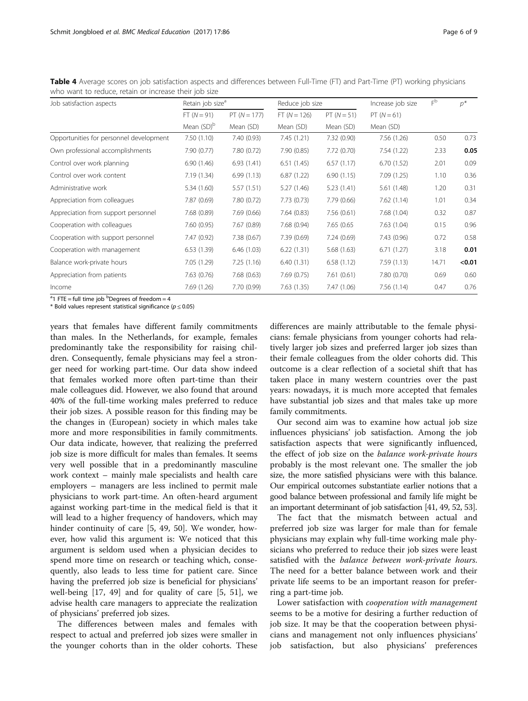| Job satisfaction aspects                | Retain job size <sup>a</sup> |                | Reduce job size |               | Increase job size | $F^{\rm b}$ | $p^*$  |
|-----------------------------------------|------------------------------|----------------|-----------------|---------------|-------------------|-------------|--------|
|                                         | $FT (N = 91)$                | $PT (N = 177)$ | $FT (N = 126)$  | $PT (N = 51)$ | $PT (N = 61)$     |             |        |
|                                         | Mean (SD) <sup>b</sup>       | Mean (SD)      | Mean (SD)       | Mean (SD)     | Mean (SD)         |             |        |
| Opportunities for personnel development | 7.50(1.10)                   | 7.40 (0.93)    | 7.45(1.21)      | 7.32 (0.90)   | 7.56 (1.26)       | 0.50        | 0.73   |
| Own professional accomplishments        | 7.90 (0.77)                  | 7.80 (0.72)    | 7.90(0.85)      | 7.72 (0.70)   | 7.54 (1.22)       | 2.33        | 0.05   |
| Control over work planning              | 6.90(1.46)                   | 6.93(1.41)     | 6.51(1.45)      | 6.57(1.17)    | 6.70(1.52)        | 2.01        | 0.09   |
| Control over work content               | 7.19(1.34)                   | 6.99(1.13)     | 6.87(1.22)      | 6.90(1.15)    | 7.09(1.25)        | 1.10        | 0.36   |
| Administrative work                     | 5.34(1.60)                   | 5.57(1.51)     | 5.27(1.46)      | 5.23(1.41)    | 5.61 (1.48)       | 1.20        | 0.31   |
| Appreciation from colleagues            | 7.87 (0.69)                  | 7.80 (0.72)    | 7.73(0.73)      | 7.79(0.66)    | 7.62(1.14)        | 1.01        | 0.34   |
| Appreciation from support personnel     | 7.68(0.89)                   | 7.69(0.66)     | 7.64(0.83)      | 7.56(0.61)    | 7.68 (1.04)       | 0.32        | 0.87   |
| Cooperation with colleagues             | 7.60 (0.95)                  | 7.67 (0.89)    | 7.68(0.94)      | 7.65 (0.65    | 7.63(1.04)        | 0.15        | 0.96   |
| Cooperation with support personnel      | 7.47 (0.92)                  | 7.38(0.67)     | 7.39(0.69)      | 7.24(0.69)    | 7.43 (0.96)       | 0.72        | 0.58   |
| Cooperation with management             | 6.53(1.39)                   | 6.46(1.03)     | 6.22(1.31)      | 5.68(1.63)    | 6.71(1.27)        | 3.18        | 0.01   |
| Balance work-private hours              | 7.05 (1.29)                  | 7.25(1.16)     | 6.40(1.31)      | 6.58(1.12)    | 7.59(1.13)        | 14.71       | < 0.01 |
| Appreciation from patients              | 7.63(0.76)                   | 7.68(0.63)     | 7.69(0.75)      | 7.61(0.61)    | 7.80 (0.70)       | 0.69        | 0.60   |
| Income                                  | 7.69(1.26)                   | 7.70 (0.99)    | 7.63(1.35)      | 7.47 (1.06)   | 7.56(1.14)        | 0.47        | 0.76   |

<span id="page-5-0"></span>Table 4 Average scores on job satisfaction aspects and differences between Full-Time (FT) and Part-Time (PT) working physicians who want to reduce, retain or increase their job size

 $^{\circ}$ 1 FTE = full time job <sup>b</sup>Degrees of freedom = 4

\* Bold values represent statistical significance ( $p \le 0.05$ )

years that females have different family commitments than males. In the Netherlands, for example, females predominantly take the responsibility for raising children. Consequently, female physicians may feel a stronger need for working part-time. Our data show indeed that females worked more often part-time than their male colleagues did. However, we also found that around 40% of the full-time working males preferred to reduce their job sizes. A possible reason for this finding may be the changes in (European) society in which males take more and more responsibilities in family commitments. Our data indicate, however, that realizing the preferred job size is more difficult for males than females. It seems very well possible that in a predominantly masculine work context – mainly male specialists and health care employers – managers are less inclined to permit male physicians to work part-time. An often-heard argument against working part-time in the medical field is that it will lead to a higher frequency of handovers, which may hinder continuity of care [[5,](#page-7-0) [49, 50\]](#page-8-0). We wonder, however, how valid this argument is: We noticed that this argument is seldom used when a physician decides to spend more time on research or teaching which, consequently, also leads to less time for patient care. Since having the preferred job size is beneficial for physicians' well-being [[17,](#page-7-0) [49](#page-8-0)] and for quality of care [[5](#page-7-0), [51](#page-8-0)], we advise health care managers to appreciate the realization of physicians' preferred job sizes.

The differences between males and females with respect to actual and preferred job sizes were smaller in the younger cohorts than in the older cohorts. These

differences are mainly attributable to the female physicians: female physicians from younger cohorts had relatively larger job sizes and preferred larger job sizes than their female colleagues from the older cohorts did. This outcome is a clear reflection of a societal shift that has taken place in many western countries over the past years: nowadays, it is much more accepted that females have substantial job sizes and that males take up more family commitments.

Our second aim was to examine how actual job size influences physicians' job satisfaction. Among the job satisfaction aspects that were significantly influenced, the effect of job size on the balance work-private hours probably is the most relevant one. The smaller the job size, the more satisfied physicians were with this balance. Our empirical outcomes substantiate earlier notions that a good balance between professional and family life might be an important determinant of job satisfaction [\[41](#page-8-0), [49](#page-8-0), [52](#page-8-0), [53](#page-8-0)].

The fact that the mismatch between actual and preferred job size was larger for male than for female physicians may explain why full-time working male physicians who preferred to reduce their job sizes were least satisfied with the balance between work-private hours. The need for a better balance between work and their private life seems to be an important reason for preferring a part-time job.

Lower satisfaction with cooperation with management seems to be a motive for desiring a further reduction of job size. It may be that the cooperation between physicians and management not only influences physicians' job satisfaction, but also physicians' preferences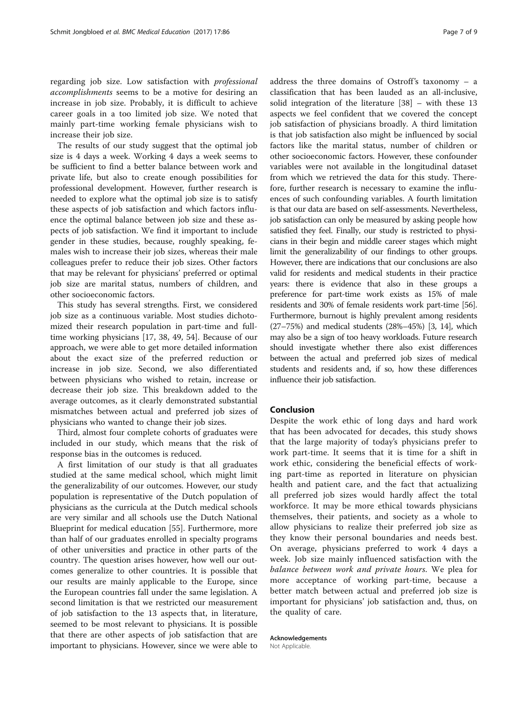regarding job size. Low satisfaction with professional accomplishments seems to be a motive for desiring an increase in job size. Probably, it is difficult to achieve career goals in a too limited job size. We noted that mainly part-time working female physicians wish to increase their job size.

The results of our study suggest that the optimal job size is 4 days a week. Working 4 days a week seems to be sufficient to find a better balance between work and private life, but also to create enough possibilities for professional development. However, further research is needed to explore what the optimal job size is to satisfy these aspects of job satisfaction and which factors influence the optimal balance between job size and these aspects of job satisfaction. We find it important to include gender in these studies, because, roughly speaking, females wish to increase their job sizes, whereas their male colleagues prefer to reduce their job sizes. Other factors that may be relevant for physicians' preferred or optimal job size are marital status, numbers of children, and other socioeconomic factors.

This study has several strengths. First, we considered job size as a continuous variable. Most studies dichotomized their research population in part-time and fulltime working physicians [[17,](#page-7-0) [38](#page-8-0), [49, 54\]](#page-8-0). Because of our approach, we were able to get more detailed information about the exact size of the preferred reduction or increase in job size. Second, we also differentiated between physicians who wished to retain, increase or decrease their job size. This breakdown added to the average outcomes, as it clearly demonstrated substantial mismatches between actual and preferred job sizes of physicians who wanted to change their job sizes.

Third, almost four complete cohorts of graduates were included in our study, which means that the risk of response bias in the outcomes is reduced.

A first limitation of our study is that all graduates studied at the same medical school, which might limit the generalizability of our outcomes. However, our study population is representative of the Dutch population of physicians as the curricula at the Dutch medical schools are very similar and all schools use the Dutch National Blueprint for medical education [[55](#page-8-0)]. Furthermore, more than half of our graduates enrolled in specialty programs of other universities and practice in other parts of the country. The question arises however, how well our outcomes generalize to other countries. It is possible that our results are mainly applicable to the Europe, since the European countries fall under the same legislation. A second limitation is that we restricted our measurement of job satisfaction to the 13 aspects that, in literature, seemed to be most relevant to physicians. It is possible that there are other aspects of job satisfaction that are important to physicians. However, since we were able to address the three domains of Ostroff's taxonomy – a classification that has been lauded as an all-inclusive, solid integration of the literature [[38\]](#page-8-0) – with these 13 aspects we feel confident that we covered the concept job satisfaction of physicians broadly. A third limitation is that job satisfaction also might be influenced by social factors like the marital status, number of children or other socioeconomic factors. However, these confounder variables were not available in the longitudinal dataset from which we retrieved the data for this study. Therefore, further research is necessary to examine the influences of such confounding variables. A fourth limitation is that our data are based on self-assessments. Nevertheless, job satisfaction can only be measured by asking people how satisfied they feel. Finally, our study is restricted to physicians in their begin and middle career stages which might limit the generalizability of our findings to other groups. However, there are indications that our conclusions are also valid for residents and medical students in their practice years: there is evidence that also in these groups a preference for part-time work exists as 15% of male residents and 30% of female residents work part-time [\[56](#page-8-0)]. Furthermore, burnout is highly prevalent among residents (27–75%) and medical students (28%–45%) [\[3, 14](#page-7-0)], which may also be a sign of too heavy workloads. Future research should investigate whether there also exist differences between the actual and preferred job sizes of medical students and residents and, if so, how these differences influence their job satisfaction.

# Conclusion

Despite the work ethic of long days and hard work that has been advocated for decades, this study shows that the large majority of today's physicians prefer to work part-time. It seems that it is time for a shift in work ethic, considering the beneficial effects of working part-time as reported in literature on physician health and patient care, and the fact that actualizing all preferred job sizes would hardly affect the total workforce. It may be more ethical towards physicians themselves, their patients, and society as a whole to allow physicians to realize their preferred job size as they know their personal boundaries and needs best. On average, physicians preferred to work 4 days a week. Job size mainly influenced satisfaction with the balance between work and private hours. We plea for more acceptance of working part-time, because a better match between actual and preferred job size is important for physicians' job satisfaction and, thus, on the quality of care.

Acknowledgements

Not Applicable.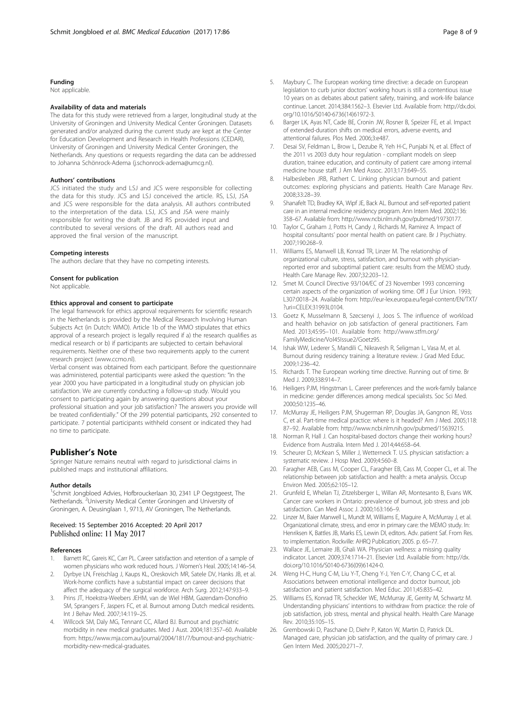# <span id="page-7-0"></span>Funding

Not applicable.

#### Availability of data and materials

The data for this study were retrieved from a larger, longitudinal study at the University of Groningen and University Medical Center Groningen. Datasets generated and/or analyzed during the current study are kept at the Center for Education Development and Research in Health Professions (CEDAR), University of Groningen and University Medical Center Groningen, the Netherlands. Any questions or requests regarding the data can be addressed to Johanna Schönrock-Adema (j.schonrock-adema@umcg.nl).

#### Authors' contributions

JCS initiated the study and LSJ and JCS were responsible for collecting the data for this study. JCS and LSJ conceived the article. RS, LSJ, JSA and JCS were responsible for the data analysis. All authors contributed to the interpretation of the data. LSJ, JCS and JSA were mainly responsible for writing the draft. JB and RS provided input and contributed to several versions of the draft. All authors read and approved the final version of the manuscript.

#### Competing interests

The authors declare that they have no competing interests.

#### Consent for publication

Not applicable.

### Ethics approval and consent to participate

The legal framework for ethics approval requirements for scientific research in the Netherlands is provided by the Medical Research Involving Human Subjects Act (in Dutch: WMO). Article 1b of the WMO stipulates that ethics approval of a research project is legally required if a) the research qualifies as medical research or b) if participants are subjected to certain behavioral requirements. Neither one of these two requirements apply to the current research project [\(www.ccmo.nl\)](http://www.ccmo.nl/).

Verbal consent was obtained from each participant. Before the questionnaire was administered, potential participants were asked the question: "In the year 2000 you have participated in a longitudinal study on physician job satisfaction. We are currently conducting a follow-up study. Would you consent to participating again by answering questions about your professional situation and your job satisfaction? The answers you provide will be treated confidentially." Of the 299 potential participants, 292 consented to participate. 7 potential participants withheld consent or indicated they had no time to participate.

# Publisher's Note

Springer Nature remains neutral with regard to jurisdictional claims in published maps and institutional affiliations.

#### Author details

<sup>1</sup>Schmit Jongbloed Advies, Hofbrouckerlaan 30, 2341 LP Oegstgeest, The Netherlands. <sup>2</sup>University Medical Center Groningen and University of Groningen, A. Deusinglaan 1, 9713, AV Groningen, The Netherlands.

# Received: 15 September 2016 Accepted: 20 April 2017 Published online: 11 May 2017

#### References

- 1. Barnett RC, Gareis KC, Carr PL. Career satisfaction and retention of a sample of women physicians who work reduced hours. J Women's Heal. 2005;14:146–54.
- Dyrbye LN, Freischlag J, Kaups KL, Oreskovich MR, Satele DV, Hanks JB, et al. Work-home conflicts have a substantial impact on career decisions that affect the adequacy of the surgical workforce. Arch Surg. 2012;147:933–9.
- 3. Prins JT, Hoekstra-Weebers JEHM, van de Wiel HBM, Gazendam-Donofrio SM, Sprangers F, Jaspers FC, et al. Burnout among Dutch medical residents. Int J Behav Med. 2007;14:119–25.
- 4. Willcock SM, Daly MG, Tennant CC, Allard BJ. Burnout and psychiatric morbidity in new medical graduates. Med J Aust. 2004;181:357–60. Available from: [https://www.mja.com.au/journal/2004/181/7/burnout-and-psychiatric](https://www.mja.com.au/journal/2004/181/7/burnout-and-psychiatric-morbidity-new-medical-graduates)[morbidity-new-medical-graduates](https://www.mja.com.au/journal/2004/181/7/burnout-and-psychiatric-morbidity-new-medical-graduates).
- 5. Maybury C. The European working time directive: a decade on European legislation to curb junior doctors' working hours is still a contentious issue 10 years on as debates about patient safety, training, and work-life balance continue. Lancet. 2014;384:1562–3. Elsevier Ltd. Available from: http://dx.doi. org/[10.1016/S0140-6736\(14\)61972-3.](http://dx.doi.org/10.1016/S0140-6736(14)61972-3)
- 6. Barger LK, Ayas NT, Cade BE, Cronin JW, Rosner B, Speizer FE, et al. Impact of extended-duration shifts on medical errors, adverse events, and attentional failures. Plos Med. 2006;3:e487.
- 7. Desai SV, Feldman L, Brow L, Dezube R, Yeh H-C, Punjabi N, et al. Effect of the 2011 vs 2003 duty hour regulation - compliant models on sleep duration, trainee education, and continuity of patient care among internal medicine house staff. J Am Med Assoc. 2013;173:649–55.
- 8. Halbesleben JRB, Rathert C. Linking physician burnout and patient outcomes: exploring physicians and patients. Health Care Manage Rev. 2008;33:28–39.
- 9. Shanafelt TD, Bradley KA, Wipf JE, Back AL. Burnout and self-reported patient care in an internal medicine residency program. Ann Intern Med. 2002;136: 358–67. Available from: [http://www.ncbi.nlm.nih.gov/pubmed/19730177.](http://www.ncbi.nlm.nih.gov/pubmed/19730177)
- 10. Taylor C, Graham J, Potts H, Candy J, Richards M, Ramirez A. Impact of hospital consultants' poor mental health on patient care. Br J Psychiatry. 2007;190:268–9.
- 11. Williams ES, Manwell LB, Konrad TR, Linzer M. The relationship of organizational culture, stress, satisfaction, and burnout with physicianreported error and suboptimal patient care: results from the MEMO study. Health Care Manage Rev. 2007;32:203–12.
- 12. Smet M. Council Directive 93/104/EC of 23 November 1993 concerning certain aspects of the organization of working time. Off J Eur Union. 1993; L307:0018–24. Available from: [http://eur-lex.europa.eu/legal-content/EN/TXT/](http://eur-lex.europa.eu/legal-content/EN/TXT/?uri=CELEX:31993L0104) [?uri=CELEX:31993L0104.](http://eur-lex.europa.eu/legal-content/EN/TXT/?uri=CELEX:31993L0104)
- 13. Goetz K, Musselmann B, Szecsenyi J, Joos S. The influence of workload and health behavior on job satisfaction of general practitioners. Fam Med. 2013;45:95–101. Available from: [http://www.stfm.org/](http://www.stfm.org/FamilyMedicine/Vol45Issue2/Goetz95) [FamilyMedicine/Vol45Issue2/Goetz95](http://www.stfm.org/FamilyMedicine/Vol45Issue2/Goetz95).
- 14. Ishak WW, Lederer S, Mandili C, Nikravesh R, Seligman L, Vasa M, et al. Burnout during residency training: a literature review. J Grad Med Educ. 2009;1:236–42.
- 15. Richards T. The European working time directive. Running out of time. Br Med J. 2009;338:914–7.
- 16. Heiligers PJM, Hingstman L. Career preferences and the work-family balance in medicine: gender differences among medical specialists. Soc Sci Med. 2000;50:1235–46.
- 17. McMurray JE, Heiligers PJM, Shugerman RP, Douglas JA, Gangnon RE, Voss C, et al. Part-time medical practice: where is it headed? Am J Med. 2005;118: 87–92. Available from: [http://www.ncbi.nlm.nih.gov/pubmed/15639215.](http://www.ncbi.nlm.nih.gov/pubmed/15639215)
- 18. Norman R, Hall J. Can hospital-based doctors change their working hours? Evidence from Australia. Intern Med J. 2014;44:658–64.
- 19. Scheurer D, McKean S, Miller J, Wetterneck T. U.S. physician satisfaction: a systematic review. J Hosp Med. 2009;4:560–8.
- 20. Faragher AEB, Cass M, Cooper CL, Faragher EB, Cass M, Cooper CL, et al. The relationship between job satisfaction and health: a meta analysis. Occup Environ Med. 2005;62:105–12.
- 21. Grunfeld E, Whelan TJ, Zitzelsberger L, Willan AR, Montesanto B, Evans WK. Cancer care workers in Ontario: prevalence of burnout, job stress and job satisfaction. Can Med Assoc J. 2000;163:166–9.
- 22. Linzer M, Baier Manwell L, Mundt M, Williams E, Maguire A, McMurray J, et al. Organizational climate, stress, and error in primary care: the MEMO study. In: Henriksen K, Battles JB, Marks ES, Lewin DI, editors. Adv. patient Saf. From Res. to implementation. Rockville: AHRQ Publication; 2005. p. 65–77.
- 23. Wallace JE, Lemaire JB, Ghali WA. Physician wellness: a missing quality indicator. Lancet. 2009;374:1714–21. Elsevier Ltd. Available from: [http://dx.](http://dx.doi.org/10.1016/S0140-6736(09)61424-0) [doi.org/10.1016/S0140-6736\(09\)61424-0](http://dx.doi.org/10.1016/S0140-6736(09)61424-0).
- 24. Weng H-C, Hung C-M, Liu Y-T, Cheng Y-J, Yen C-Y, Chang C-C, et al. Associations between emotional intelligence and doctor burnout, job satisfaction and patient satisfaction. Med Educ. 2011;45:835–42.
- 25. Williams ES, Konrad TR, Scheckler WE, McMurray JE, Gerrity M, Schwartz M. Understanding physicians' intentions to withdraw from practice: the role of job satisfaction, job stress, mental and physical health. Health Care Manage Rev. 2010;35:105–15.
- 26. Grembowski D, Paschane D, Diehr P, Katon W, Martin D, Patrick DL. Managed care, physician job satisfaction, and the quality of primary care. J Gen Intern Med. 2005;20:271–7.